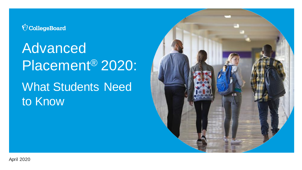

# Advanced Placement® 2020:

# What Students Need to Know

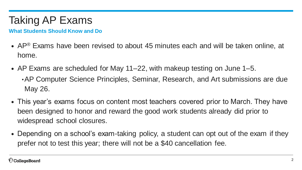# Taking AP Exams

**What Students Should Know and Do**

- AP<sup>®</sup> Exams have been revised to about 45 minutes each and will be taken online, at home.
- AP Exams are scheduled for May 11–22, with makeup testing on June 1–5. •AP Computer Science Principles, Seminar, Research, and Art submissions are due May 26.
- This year's exams focus on content most teachers covered prior to March. They have been designed to honor and reward the good work students already did prior to widespread school closures.
- Depending on a school's exam-taking policy, a student can opt out of the exam if they prefer not to test this year; there will not be a \$40 cancellation fee.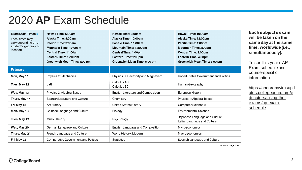### 2020 **AP** Exam Schedule

| <b>Exam Start Times ▶</b><br>Local times may<br>vary depending on a<br>student's geographic<br>location. | Hawaii Time: 6:00am<br>Alaska Time: 8:00am<br>Pacific Time: 9:00am<br><b>Mountain Time: 10:00am</b><br><b>Central Time: 11:00am</b><br>Eastern Time: 12:00pm<br><b>Greenwich Mean Time: 4:00 pm</b> | Hawaii Time: 8:00am<br>Alaska Time: 10:00am<br>Pacific Time: 11:00am<br><b>Mountain Time: 12:00pm</b><br><b>Central Time: 1:00pm</b><br>Eastern Time: 2:00pm<br><b>Greenwich Mean Time: 6:00 pm</b> | Hawaii Time: 10:00am<br>Alaska Time: 12:00pm<br>Pacific Time: 1:00pm<br><b>Mountain Time: 2:00pm</b><br><b>Central Time: 3:00pm</b><br>Eastern Time: 4:00pm<br><b>Greenwich Mean Time: 8:00 pm</b> |  |  |
|----------------------------------------------------------------------------------------------------------|-----------------------------------------------------------------------------------------------------------------------------------------------------------------------------------------------------|-----------------------------------------------------------------------------------------------------------------------------------------------------------------------------------------------------|----------------------------------------------------------------------------------------------------------------------------------------------------------------------------------------------------|--|--|
| <b>Primary</b>                                                                                           |                                                                                                                                                                                                     |                                                                                                                                                                                                     |                                                                                                                                                                                                    |  |  |
| Mon, May 11                                                                                              | Physics C: Mechanics                                                                                                                                                                                | Physics C: Electricity and Magnetism                                                                                                                                                                | United States Government and Politics                                                                                                                                                              |  |  |
| Tues, May 12                                                                                             | Latin                                                                                                                                                                                               | Calculus AB<br>Calculus BC                                                                                                                                                                          | Human Geography                                                                                                                                                                                    |  |  |
| Wed, May 13                                                                                              | Physics 2: Algebra-Based                                                                                                                                                                            | <b>English Literature and Composition</b>                                                                                                                                                           | European History                                                                                                                                                                                   |  |  |
| Thurs, May 14                                                                                            | Spanish Literature and Culture                                                                                                                                                                      | Chemistry                                                                                                                                                                                           | Physics 1: Algebra-Based                                                                                                                                                                           |  |  |
| Fri, May 15                                                                                              | <b>Art History</b>                                                                                                                                                                                  | <b>United States History</b>                                                                                                                                                                        | Computer Science A                                                                                                                                                                                 |  |  |
| Mon, May 18                                                                                              | Chinese Language and Culture                                                                                                                                                                        | Biology                                                                                                                                                                                             | <b>Environmental Science</b>                                                                                                                                                                       |  |  |
| Tues, May 19                                                                                             | <b>Music Theory</b>                                                                                                                                                                                 | Psychology                                                                                                                                                                                          | Japanese Language and Culture<br>Italian Language and Culture                                                                                                                                      |  |  |
| Wed, May 20                                                                                              | German Language and Culture                                                                                                                                                                         | English Language and Composition                                                                                                                                                                    | Microeconomics                                                                                                                                                                                     |  |  |
| Thurs, May 21                                                                                            | French Language and Culture                                                                                                                                                                         | World History: Modern                                                                                                                                                                               | Macroeconomics                                                                                                                                                                                     |  |  |
| Fri, May 22                                                                                              | <b>Comparative Government and Politics</b>                                                                                                                                                          | <b>Statistics</b>                                                                                                                                                                                   | Spanish Language and Culture                                                                                                                                                                       |  |  |

**Each subject's exam will be taken on the same day at the same time, worldwide (i.e., simultaneously).**

To see this year's AP Exam schedule and course-specific information:

https://apcoronavirusupd [ates.collegeboard.org/e](https://apcoronavirusupdates.collegeboard.org/educators/taking-the-exams/ap-exam-schedule) ducators/taking-theexams/ap-examschedule

@ 2020 College Board.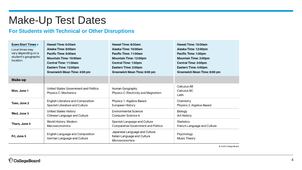### Make-Up Test Dates

#### **For Students with Technical or Other Disruptions**

| Exam Start Times ▶<br>Local times may<br>vary depending on a<br>student's geographic<br>location. | Hawaii Time: 6:00am<br>Alaska Time: 8:00am<br>Pacific Time: 9:00am<br>Mountain Time: 10:00am<br><b>Central Time: 11:00am</b><br>Eastern Time: 12:00pm<br><b>Greenwich Mean Time: 4:00 pm</b> | Hawaii Time: 8:00am<br>Alaska Time: 10:00am<br>Pacific Time: 11:00am<br><b>Mountain Time: 12:00pm</b><br><b>Central Time: 1:00pm</b><br>Eastern Time: 2:00pm<br><b>Greenwich Mean Time: 6:00 pm</b> | Hawaii Time: 10:00am<br>Alaska Time: 12:00pm<br>Pacific Time: 1:00pm<br><b>Mountain Time: 2:00pm</b><br><b>Central Time: 3:00pm</b><br>Eastern Time: 4:00pm<br><b>Greenwich Mean Time: 8:00 pm</b> |  |  |  |
|---------------------------------------------------------------------------------------------------|----------------------------------------------------------------------------------------------------------------------------------------------------------------------------------------------|-----------------------------------------------------------------------------------------------------------------------------------------------------------------------------------------------------|----------------------------------------------------------------------------------------------------------------------------------------------------------------------------------------------------|--|--|--|
| Make-up                                                                                           |                                                                                                                                                                                              |                                                                                                                                                                                                     |                                                                                                                                                                                                    |  |  |  |
| Mon, June 1                                                                                       | United States Government and Politics<br>Physics C: Mechanics                                                                                                                                | Human Geography<br>Physics C: Electricity and Magnetism                                                                                                                                             | Calculus AB<br>Calculus BC<br>Latin                                                                                                                                                                |  |  |  |
| Tues, June 2                                                                                      | English Literature and Composition<br><b>Spanish Literature and Culture</b>                                                                                                                  | Physics 1: Algebra-Based<br>European History                                                                                                                                                        | Chemistry<br>Physics 2: Algebra-Based                                                                                                                                                              |  |  |  |
| Wed, June 3                                                                                       | <b>United States History</b><br>Chinese Language and Culture                                                                                                                                 | <b>Environmental Science</b><br>Computer Science A                                                                                                                                                  | Biology<br>Art History                                                                                                                                                                             |  |  |  |
| Thurs, June 4                                                                                     | World History: Modern<br><b>Macroeconomics</b>                                                                                                                                               | Spanish Language and Culture<br><b>Comparative Government and Politics</b>                                                                                                                          | <b>Statistics</b><br>French Language and Culture                                                                                                                                                   |  |  |  |
| Fri, June 5                                                                                       | English Language and Composition<br>German Language and Culture                                                                                                                              | Japanese Language and Culture<br>Italian Language and Culture<br><b>Microeconomics</b>                                                                                                              | Psychology<br>Music Theory                                                                                                                                                                         |  |  |  |

@ 2020 College Board.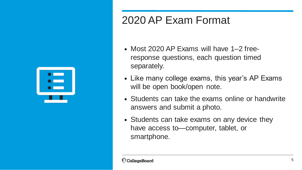### 2020 AP Exam Format

- Most 2020 AP Exams will have 1–2 freeresponse questions, each question timed separately.
- Like many college exams, this year's AP Exams will be open book/open note.
- Students can take the exams online or handwrite answers and submit a photo.
- Students can take exams on any device they have access to—computer, tablet, or smartphone.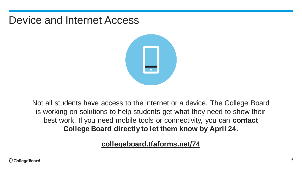#### Device and Internet Access



Not all students have access to the internet or a device. The College Board is working on solutions to help students get what they need to show their best work. If you need mobile tools or connectivity, you can **contact College Board directly to let them know by April 24**.

**[collegeboard.tfaforms.net/74](https://collegeboard.tfaforms.net/74)**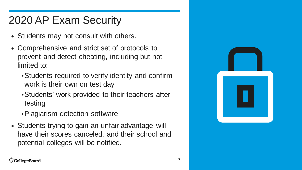## 2020 AP Exam Security

- Students may not consult with others.
- Comprehensive and strict set of protocols to prevent and detect cheating, including but not limited to:
	- •Students required to verify identity and confirm work is their own on test day
	- •Students' work provided to their teachers after testing
	- •Plagiarism detection software
- Students trying to gain an unfair advantage will have their scores canceled, and their school and potential colleges will be notified.

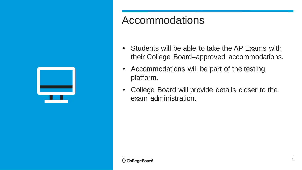### Accommodations

- Students will be able to take the AP Exams with their College Board–approved accommodations.
- Accommodations will be part of the testing platform.
- College Board will provide details closer to the exam administration.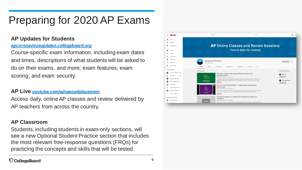# Preparing for 2020 AP Exams

#### **AP Updates for Students**

#### **[apcoronavirusupdates.collegeboard.org](https://apcoronavirusupdates.collegeboard.org/)**

Course-specific exam information, including exam dates and times, descriptions of what students will be asked to do on their exams, and more; exam features; exam scoring; and exam security.

#### **AP Live [youtube.com/advancedplacement](https://youtube.com/advancedplacement)**

Access daily, online AP classes and review delivered by AP teachers from across the country.

#### **AP Classroom**

Students, including students in exam-only sections, will see a new Optional Student Practice section that includes the most relevant free-response questions (FRQs) for practicing the concepts and skills that will be tested.

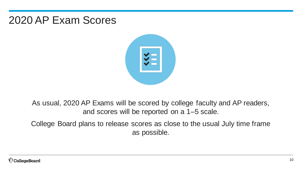#### 2020 AP Exam Scores



As usual, 2020 AP Exams will be scored by college faculty and AP readers, and scores will be reported on a 1–5 scale.

College Board plans to release scores as close to the usual July time frame as possible.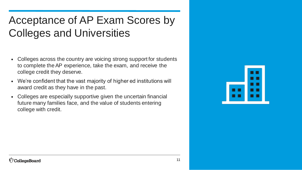# Acceptance of AP Exam Scores by Colleges and Universities

- Colleges across the country are voicing strong support for students to complete the AP experience, take the exam, and receive the college credit they deserve.
- We're confident that the vast majority of higher ed institutions will award credit as they have in the past.
- Colleges are especially supportive given the uncertain financial future many families face, and the value of students entering college with credit.

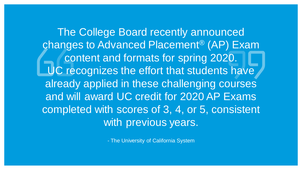The College Board recently announced changes to Advanced Placement® (AP) Exam content and formats for spring 2020. UC recognizes the effort that students have already applied in these challenging courses and will award UC credit for 2020 AP Exams completed with scores of 3, 4, or 5, consistent with previous years.

- The University of California System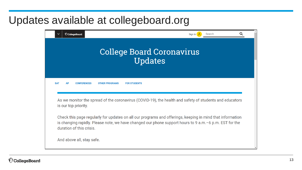### Updates available at collegeboard.org